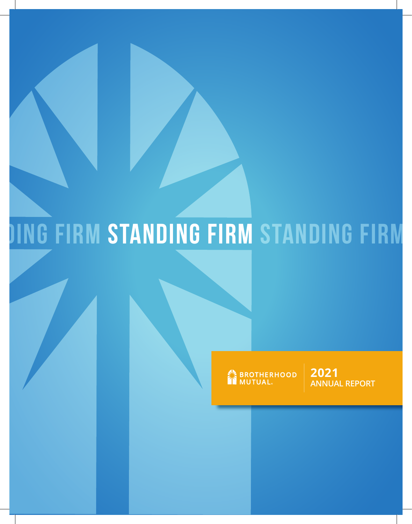# **Standing Firm standing firm standing firm firm**

BROTHERHOOD

**2021 ANNUAL REPORT**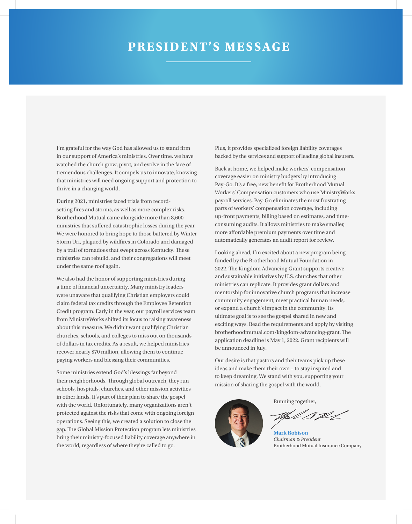#### **PRESIDENT'S MESSAGE**

I'm grateful for the way God has allowed us to stand firm in our support of America's ministries. Over time, we have watched the church grow, pivot, and evolve in the face of tremendous challenges. It compels us to innovate, knowing that ministries will need ongoing support and protection to thrive in a changing world.

During 2021, ministries faced trials from recordsetting fires and storms, as well as more complex risks. Brotherhood Mutual came alongside more than 8,600 ministries that suffered catastrophic losses during the year. We were honored to bring hope to those battered by Winter Storm Uri, plagued by wildfires in Colorado and damaged by a trail of tornadoes that swept across Kentucky. These ministries can rebuild, and their congregations will meet under the same roof again.

We also had the honor of supporting ministries during a time of financial uncertainty. Many ministry leaders were unaware that qualifying Christian employers could claim federal tax credits through the Employee Retention Credit program. Early in the year, our payroll services team from MinistryWorks shifted its focus to raising awareness about this measure. We didn't want qualifying Christian churches, schools, and colleges to miss out on thousands of dollars in tax credits. As a result, we helped ministries recover nearly \$70 million, allowing them to continue paying workers and blessing their communities.

Some ministries extend God's blessings far beyond their neighborhoods. Through global outreach, they run schools, hospitals, churches, and other mission activities in other lands. It's part of their plan to share the gospel with the world. Unfortunately, many organizations aren't protected against the risks that come with ongoing foreign operations. Seeing this, we created a solution to close the gap. The Global Mission Protection program lets ministries bring their ministry-focused liability coverage anywhere in the world, regardless of where they're called to go.

Plus, it provides specialized foreign liability coverages backed by the services and support of leading global insurers.

Back at home, we helped make workers' compensation coverage easier on ministry budgets by introducing Pay-Go. It's a free, new benefit for Brotherhood Mutual Workers' Compensation customers who use MinistryWorks payroll services. Pay-Go eliminates the most frustrating parts of workers' compensation coverage, including up-front payments, billing based on estimates, and timeconsuming audits. It allows ministries to make smaller, more affordable premium payments over time and automatically generates an audit report for review.

Looking ahead, I'm excited about a new program being funded by the Brotherhood Mutual Foundation in 2022. The Kingdom Advancing Grant supports creative and sustainable initiatives by U.S. churches that other ministries can replicate. It provides grant dollars and mentorship for innovative church programs that increase community engagement, meet practical human needs, or expand a church's impact in the community. Its ultimate goal is to see the gospel shared in new and exciting ways. Read the requirements and apply by visiting brotherhoodmutual.com/kingdom-advancing-grant. The application deadline is May 1, 2022. Grant recipients will be announced in July.

Our desire is that pastors and their teams pick up these ideas and make them their own – to stay inspired and to keep dreaming. We stand with you, supporting your mission of sharing the gospel with the world.



Running together,

V W

**Mark Robison** *Chairman & President* Brotherhood Mutual Insurance Company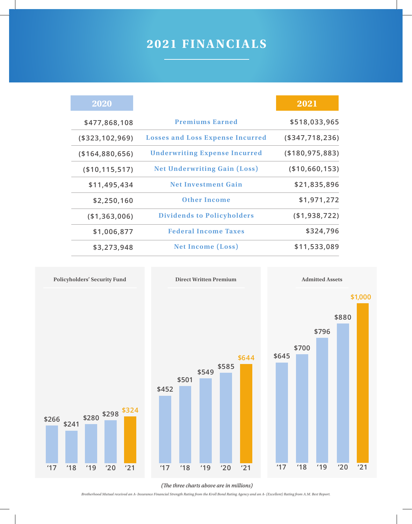### **2021 FINANCIALS**

| 2020               |                                         | 2021               |
|--------------------|-----------------------------------------|--------------------|
| \$477,868,108      | <b>Premiums Earned</b>                  | \$518,033,965      |
| ( \$323, 102, 969) | <b>Losses and Loss Expense Incurred</b> | ( \$347, 718, 236) |
| (\$164,880,656)    | <b>Underwriting Expense Incurred</b>    | ( \$180, 975, 883) |
| ( \$10, 115, 517)  | <b>Net Underwriting Gain (Loss)</b>     | (\$10,660,153)     |
| \$11,495,434       | <b>Net Investment Gain</b>              | \$21,835,896       |
| \$2,250,160        | <b>Other Income</b>                     | \$1,971,272        |
| ( \$1,363,006)     | <b>Dividends to Policyholders</b>       | (\$1,938,722)      |
| \$1,006,877        | <b>Federal Income Taxes</b>             | \$324,796          |
| \$3,273,948        | <b>Net Income (Loss)</b>                | \$11,533,089       |



*(The three charts above are in millions)*

*Brotherhood Mutual received an A- Insurance Financial Strength Rating from the Kroll Bond Rating Agency and an A- (Excellent) Rating from A.M. Best Report.*